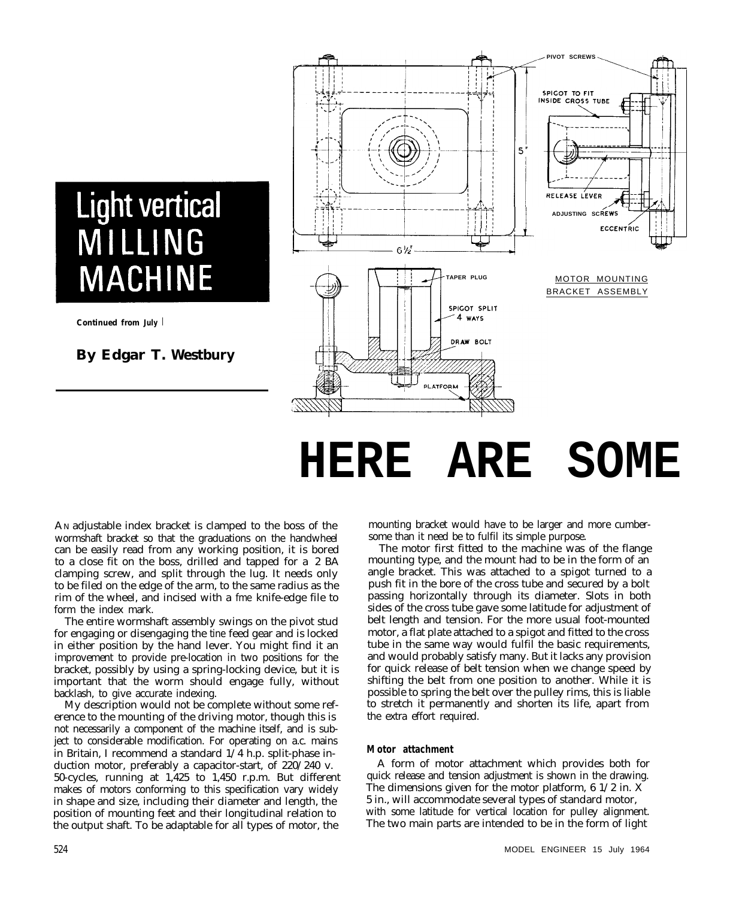### **Light vertical** MILLING **MACHINE**

**Continued from July** I

### **By Edgar T. Westbury**



# **HERE ARE SOME**

AN adjustable index bracket is clamped to the boss of the wormshaft bracket so that the graduations on the handwheel can be easily read from any working position, it is bored to a close fit on the boss, drilled and tapped for a 2 BA clamping screw, and split through the lug. It needs only to be filed on the edge of the arm, to the same radius as the rim of the wheel, and incised with a fme knife-edge file to form the index mark.

The entire wormshaft assembly swings on the pivot stud for engaging or disengaging the tine feed gear and is locked in either position by the hand lever. You might find it an improvement to provide pre-location in two positions for the bracket, possibly by using a spring-locking device, but it is important that the worm should engage fully, without backlash, to give accurate indexing.

My description would not be complete without some reference to the mounting of the driving motor, though this is not necessarily a component of the machine itself, and is subject to considerable modification. For operating on a.c. mains in Britain, I recommend a standard 1/4 h.p. split-phase induction motor, preferably a capacitor-start, of 220/240 v. 50-cycles, running at 1,425 to 1,450 r.p.m. But different makes of motors conforming to this specification vary widely in shape and size, including their diameter and length, the position of mounting feet and their longitudinal relation to the output shaft. To be adaptable for all types of motor, the

mounting bracket would have to be larger and more cumbersome than it need be to fulfil its simple purpose.

The motor first fitted to the machine was of the flange mounting type, and the mount had to be in the form of an angle bracket. This was attached to a spigot turned to a push fit in the bore of the cross tube and secured by a bolt passing horizontally through its diameter. Slots in both sides of the cross tube gave some latitude for adjustment of belt length and tension. For the more usual foot-mounted motor, a flat plate attached to a spigot and fitted to the cross tube in the same way would fulfil the basic requirements, and would probably satisfy many. But it lacks any provision for quick release of belt tension when we change speed by shifting the belt from one position to another. While it is possible to spring the belt over the pulley rims, this is liable to stretch it permanently and shorten its life, apart from the extra effort required.

#### **Motor attachment**

A form of motor attachment which provides both for quick release and tension adjustment is shown in the drawing. The dimensions given for the motor platform,  $6 \frac{1}{2}$  in. X 5 in., will accommodate several types of standard motor, with some latitude for vertical location for pulley alignment. The two main parts are intended to be in the form of light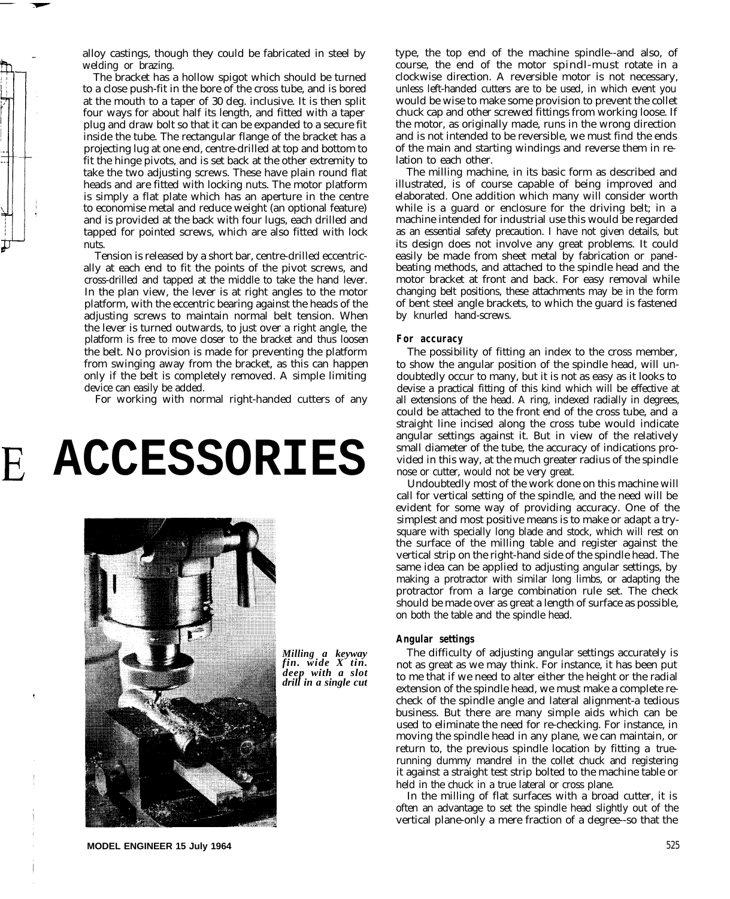alloy castings, though they could be fabricated in steel by welding or brazing.

The bracket has a hollow spigot which should be turned to a close push-fit in the bore of the cross tube, and is bored at the mouth to a taper of 30 deg. inclusive. It is then split four ways for about half its length, and fitted with a taper plug and draw bolt so that it can be expanded to a secure fit inside the tube. The rectangular flange of the bracket has a projecting lug at one end, centre-drilled at top and bottom to fit the hinge pivots, and is set back at the other extremity to take the two adjusting screws. These have plain round flat heads and are fitted with locking nuts. The motor platform is simply a flat plate which has an aperture in the centre to economise metal and reduce weight (an optional feature) and is provided at the back with four lugs, each drilled and tapped for pointed screws, which are also fitted with lock nuts.

Tension is released by a short bar, centre-drilled eccentrically at each end to fit the points of the pivot screws, and cross-drilled and tapped at the middle to take the hand lever. In the plan view, the lever is at right angles to the motor platform, with the eccentric bearing against the heads of the adjusting screws to maintain normal belt tension. When the lever is turned outwards, to just over a right angle, the platform is free to move closer to the bracket and thus loosen the belt. No provision is made for preventing the platform from swinging away from the bracket, as this can happen only if the belt is completely removed. A simple limiting device can easily be added.

For working with normal right-handed cutters of any

# **E ACCESSORIES**



*Milling a keyway fin. wide X tin. deep with a slot drill in a single cut* type, the top end of the machine spindle--and also, of course, the end of the motor spindl-must rotate in a clockwise direction. A reversible motor is not necessary, unless left-handed cutters are to be used, in which event you would be wise to make some provision to prevent the collet chuck cap and other screwed fittings from working loose. If the motor, as originally made, runs in the wrong direction and is not intended to be reversible, we must find the ends of the main and starting windings and reverse them in relation to each other.

The milling machine, in its basic form as described and illustrated, is of course capable of being improved and elaborated. One addition which many will consider worth while is a guard or enclosure for the driving belt; in a machine intended for industrial use this would be regarded as an essential safety precaution. I have not given details, but its design does not involve any great problems. It could easily be made from sheet metal by fabrication or panelbeating methods, and attached to the spindle head and the motor bracket at front and back. For easy removal while changing belt positions, these attachments may be in the form of bent steel angle brackets, to which the guard is fastened by knurled hand-screws.

#### **For accuracy**

The possibility of fitting an index to the cross member, to show the angular position of the spindle head, will undoubtedly occur to many, but it is not as easy as it looks to devise a practical fitting of this kind which will be effective at all extensions of the head. A ring, indexed radially in degrees, could be attached to the front end of the cross tube, and a straight line incised along the cross tube would indicate angular settings against it. But in view of the relatively small diameter of the tube, the accuracy of indications provided in this way, at the much greater radius of the spindle nose or cutter, would not be very great.

Undoubtedly most of the work done on this machine will call for vertical setting of the spindle, and the need will be evident for some way of providing accuracy. One of the simplest and most positive means is to make or adapt a trysquare with specially long blade and stock, which will rest on the surface of the milling table and register against the vertical strip on the right-hand side of the spindle head. The same idea can be applied to adjusting angular settings, by making a protractor with similar long limbs, or adapting the protractor from a large combination rule set. The check should be made over as great a length of surface as possible, on both the table and the spindle head.

#### **Angular settings**

The difficulty of adjusting angular settings accurately is not as great as we may think. For instance, it has been put to me that if we need to alter either the height or the radial extension of the spindle head, we must make a complete recheck of the spindle angle and lateral alignment-a tedious business. But there are many simple aids which can be used to eliminate the need for re-checking. For instance, in moving the spindle head in any plane, we can maintain, or return to, the previous spindle location by fitting a truerunning dummy mandrel in the collet chuck and registering it against a straight test strip bolted to the machine table or held in the chuck in a true lateral or cross plane.

In the milling of flat surfaces with a broad cutter, it is often an advantage to set the spindle head slightly out of the vertical plane-only a mere fraction of a degree--so that the